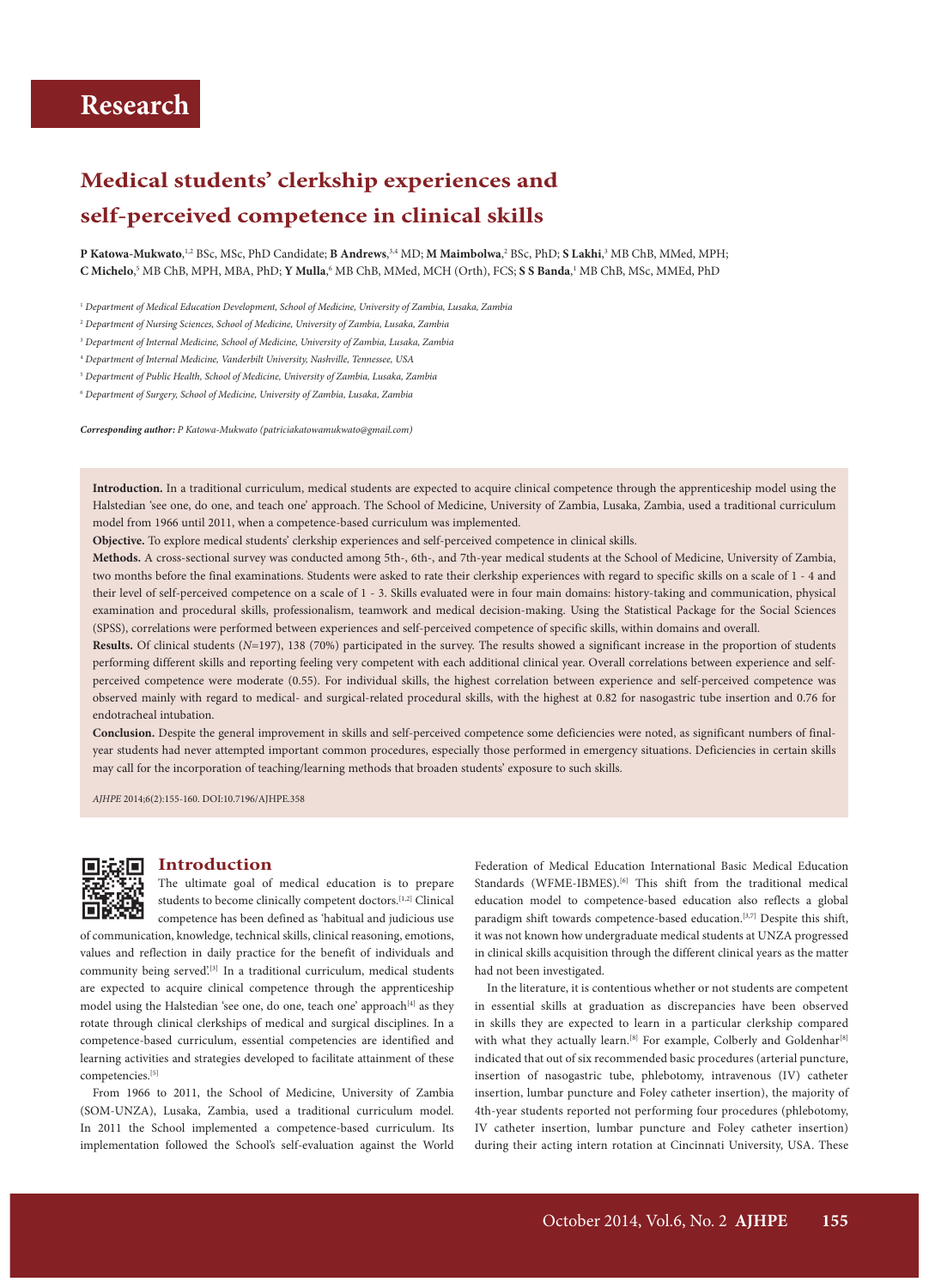# **Medical students' clerkship experiences and self-perceived competence in clinical skills**

**P Katowa-Mukwato,**  $^{1,2}$  BSc, MSc, PhD Candidate; **B Andrews**,  $^{3,4}$  MD; **M Maimbolwa**,  $^{2}$  BSc, PhD; **S Lakhi**,  $^{3}$  MB ChB, MMed, MPH; **C Michelo**,<sup>5</sup> MB ChB, MPH, MBA, PhD; **Y Mulla**,<sup>6</sup> MB ChB, MMed, MCH (Orth), FCS; **S S Banda**,<sup>1</sup> MB ChB, MSc, MMEd, PhD

<sup>1</sup> *Department of Medical Education Development, School of Medicine, University of Zambia, Lusaka, Zambia*

2  *Department of Nursing Sciences, School of Medicine, University of Zambia, Lusaka, Zambia*

3  *Department of Internal Medicine, School of Medicine, University of Zambia, Lusaka, Zambia*

4  *Department of Internal Medicine, Vanderbilt University, Nashville, Tennessee, USA*

5  *Department of Public Health, School of Medicine, University of Zambia, Lusaka, Zambia*

6  *Department of Surgery, School of Medicine, University of Zambia, Lusaka, Zambia*

*Corresponding author: P Katowa-Mukwato (patriciakatowamukwato@gmail.com)*

**Introduction.** In a traditional curriculum, medical students are expected to acquire clinical competence through the apprenticeship model using the Halstedian 'see one, do one, and teach one' approach. The School of Medicine, University of Zambia, Lusaka, Zambia, used a traditional curriculum model from 1966 until 2011, when a competence-based curriculum was implemented.

**Objective.** To explore medical students' clerkship experiences and self-perceived competence in clinical skills.

**Methods.** A cross-sectional survey was conducted among 5th-, 6th-, and 7th-year medical students at the School of Medicine, University of Zambia, two months before the final examinations. Students were asked to rate their clerkship experiences with regard to specific skills on a scale of 1 - 4 and their level of self-perceived competence on a scale of 1 - 3. Skills evaluated were in four main domains: history-taking and communication, physical examination and procedural skills, professionalism, teamwork and medical decision-making. Using the Statistical Package for the Social Sciences (SPSS), correlations were performed between experiences and self-perceived competence of specific skills, within domains and overall.

**Results.** Of clinical students (*N*=197), 138 (70%) participated in the survey. The results showed a significant increase in the proportion of students performing different skills and reporting feeling very competent with each additional clinical year. Overall correlations between experience and selfperceived competence were moderate (0.55). For individual skills, the highest correlation between experience and self-perceived competence was observed mainly with regard to medical- and surgical-related procedural skills, with the highest at 0.82 for nasogastric tube insertion and 0.76 for endotracheal intubation.

**Conclusion.** Despite the general improvement in skills and self-perceived competence some deficiencies were noted, as significant numbers of finalyear students had never attempted important common procedures, especially those performed in emergency situations. Deficiencies in certain skills may call for the incorporation of teaching/learning methods that broaden students' exposure to such skills.

*AJHPE* 2014;6(2):155-160. DOI:10.7196/AJHPE.358



#### **Introduction**

The ultimate goal of medical education is to prepare students to become clinically competent doctors.<sup>[1,2]</sup> Clinical competence has been defined as 'habitual and judicious use

of communication, knowledge, technical skills, clinical reasoning, emotions, values and reflection in daily practice for the benefit of individuals and community being served'.<sup>[3]</sup> In a traditional curriculum, medical students are expected to acquire clinical competence through the apprenticeship model using the Halstedian 'see one, do one, teach one' approach<sup>[4]</sup> as they rotate through clinical clerkships of medical and surgical disciplines. In a competence-based curriculum, essential competencies are identified and learning activities and strategies developed to facilitate attainment of these competencies.<sup>[5]</sup>

From 1966 to 2011, the School of Medicine, University of Zambia (SOM-UNZA), Lusaka, Zambia, used a traditional curriculum model. In 2011 the School implemented a competence-based curriculum. Its implementation followed the School's self-evaluation against the World Federation of Medical Education International Basic Medical Education Standards (WFME-IBMES).<sup>[6]</sup> This shift from the traditional medical education model to competence-based education also reflects a global paradigm shift towards competence-based education.<sup>[3,7]</sup> Despite this shift, it was not known how undergraduate medical students at UNZA progressed in clinical skills acquisition through the different clinical years as the matter had not been investigated.

In the literature, it is contentious whether or not students are competent in essential skills at graduation as discrepancies have been observed in skills they are expected to learn in a particular clerkship compared with what they actually learn.<sup>[8]</sup> For example, Colberly and Goldenhar<sup>[8]</sup> indicated that out of six recommended basic procedures (arterial puncture, insertion of nasogastric tube, phlebotomy, intravenous (IV) catheter insertion, lumbar puncture and Foley catheter insertion), the majority of 4th-year students reported not performing four procedures (phlebotomy, IV catheter insertion, lumbar puncture and Foley catheter insertion) during their acting intern rotation at Cincinnati University, USA. These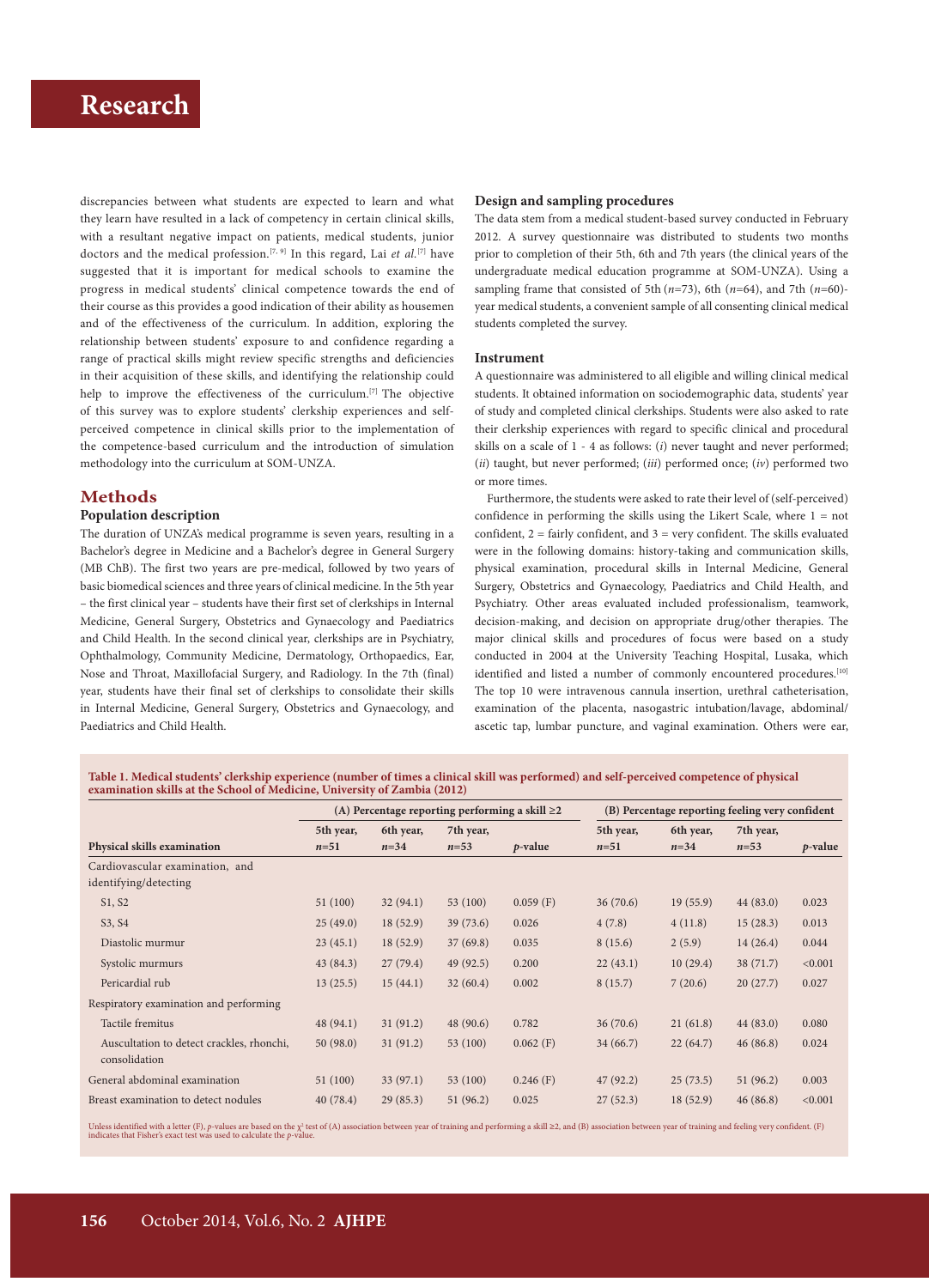# **Research Research Research Research Research Research Research Research Research Research Research Research Research Research Research Research Research Research Research Research R**

discrepancies between what students are expected to learn and what they learn have resulted in a lack of competency in certain clinical skills, with a resultant negative impact on patients, medical students, junior doctors and the medical profession.[7, 9] In this regard, Lai *et al.*[7] have suggested that it is important for medical schools to examine the progress in medical students' clinical competence towards the end of their course as this provides a good indication of their ability as housemen and of the effectiveness of the curriculum. In addition, exploring the relationship between students' exposure to and confidence regarding a range of practical skills might review specific strengths and deficiencies in their acquisition of these skills, and identifying the relationship could help to improve the effectiveness of the curriculum.<sup>[7]</sup> The objective of this survey was to explore students' clerkship experiences and selfperceived competence in clinical skills prior to the implementation of the competence-based curriculum and the introduction of simulation methodology into the curriculum at SOM-UNZA.

#### **Methods**

#### **Population description**

The duration of UNZA's medical programme is seven years, resulting in a Bachelor's degree in Medicine and a Bachelor's degree in General Surgery (MB ChB). The first two years are pre-medical, followed by two years of basic biomedical sciences and three years of clinical medicine. In the 5th year – the first clinical year – students have their first set of clerkships in Internal Medicine, General Surgery, Obstetrics and Gynaecology and Paediatrics and Child Health. In the second clinical year, clerkships are in Psychiatry, Ophthalmology, Community Medicine, Dermatology, Orthopaedics, Ear, Nose and Throat, Maxillofacial Surgery, and Radiology. In the 7th (final) year, students have their final set of clerkships to consolidate their skills in Internal Medicine, General Surgery, Obstetrics and Gynaecology, and Paediatrics and Child Health.

#### **Design and sampling procedures**

The data stem from a medical student-based survey conducted in February 2012. A survey questionnaire was distributed to students two months prior to completion of their 5th, 6th and 7th years (the clinical years of the undergraduate medical education programme at SOM-UNZA). Using a sampling frame that consisted of 5th  $(n=73)$ , 6th  $(n=64)$ , and 7th  $(n=60)$ year medical students, a convenient sample of all consenting clinical medical students completed the survey.

#### **Instrument**

A questionnaire was administered to all eligible and willing clinical medical students. It obtained information on sociodemographic data, students' year of study and completed clinical clerkships. Students were also asked to rate their clerkship experiences with regard to specific clinical and procedural skills on a scale of 1 - 4 as follows: (*i*) never taught and never performed; (*ii*) taught, but never performed; (*iii*) performed once; (*iv*) performed two or more times.

Furthermore, the students were asked to rate their level of (self-perceived) confidence in performing the skills using the Likert Scale, where 1 = not confident, 2 = fairly confident, and 3 = very confident. The skills evaluated were in the following domains: history-taking and communication skills, physical examination, procedural skills in Internal Medicine, General Surgery, Obstetrics and Gynaecology, Paediatrics and Child Health, and Psychiatry. Other areas evaluated included professionalism, teamwork, decision-making, and decision on appropriate drug/other therapies. The major clinical skills and procedures of focus were based on a study conducted in 2004 at the University Teaching Hospital, Lusaka, which identified and listed a number of commonly encountered procedures.<sup>[10]</sup> The top 10 were intravenous cannula insertion, urethral catheterisation, examination of the placenta, nasogastric intubation/lavage, abdominal/ ascetic tap, lumbar puncture, and vaginal examination. Others were ear,

**Table 1. Medical students' clerkship experience (number of times a clinical skill was performed) and self-perceived competence of physical examination skills at the School of Medicine, University of Zambia (2012)**

|                                                            | (A) Percentage reporting performing a skill $\geq 2$ |           |           |             | (B) Percentage reporting feeling very confident |           |           |            |
|------------------------------------------------------------|------------------------------------------------------|-----------|-----------|-------------|-------------------------------------------------|-----------|-----------|------------|
|                                                            | 5th year,                                            | 6th year, | 7th year, |             | 5th year,                                       | 6th year, | 7th year, |            |
| Physical skills examination                                | $n=51$                                               | $n = 34$  | $n = 53$  | $p$ -value  | $n=51$                                          | $n=34$    | $n = 53$  | $p$ -value |
| Cardiovascular examination, and<br>identifying/detecting   |                                                      |           |           |             |                                                 |           |           |            |
| S1, S2                                                     | 51(100)                                              | 32(94.1)  | 53 (100)  | $0.059$ (F) | 36(70.6)                                        | 19(55.9)  | 44(83.0)  | 0.023      |
| S3, S4                                                     | 25(49.0)                                             | 18(52.9)  | 39(73.6)  | 0.026       | 4(7.8)                                          | 4(11.8)   | 15(28.3)  | 0.013      |
| Diastolic murmur                                           | 23(45.1)                                             | 18(52.9)  | 37(69.8)  | 0.035       | 8(15.6)                                         | 2(5.9)    | 14(26.4)  | 0.044      |
| Systolic murmurs                                           | 43(84.3)                                             | 27(79.4)  | 49(92.5)  | 0.200       | 22(43.1)                                        | 10(29.4)  | 38(71.7)  | < 0.001    |
| Pericardial rub                                            | 13(25.5)                                             | 15(44.1)  | 32(60.4)  | 0.002       | 8(15.7)                                         | 7(20.6)   | 20(27.7)  | 0.027      |
| Respiratory examination and performing                     |                                                      |           |           |             |                                                 |           |           |            |
| Tactile fremitus                                           | 48(94.1)                                             | 31(91.2)  | 48(90.6)  | 0.782       | 36(70.6)                                        | 21(61.8)  | 44(83.0)  | 0.080      |
| Auscultation to detect crackles, rhonchi,<br>consolidation | 50(98.0)                                             | 31(91.2)  | 53(100)   | $0.062$ (F) | 34(66.7)                                        | 22(64.7)  | 46(86.8)  | 0.024      |
| General abdominal examination                              | 51 (100)                                             | 33(97.1)  | 53 (100)  | $0.246$ (F) | 47(92.2)                                        | 25(73.5)  | 51(96.2)  | 0.003      |
| Breast examination to detect nodules                       | 40(78.4)                                             | 29(85.3)  | 51(96.2)  | 0.025       | 27(52.3)                                        | 18(52.9)  | 46(86.8)  | < 0.001    |

Unless identified with a letter (F), p-values are based on the  $\chi^2$  test of (A) association between year of training and performing a skill ≥2, and (B) association between year of training and feeling very confident. (F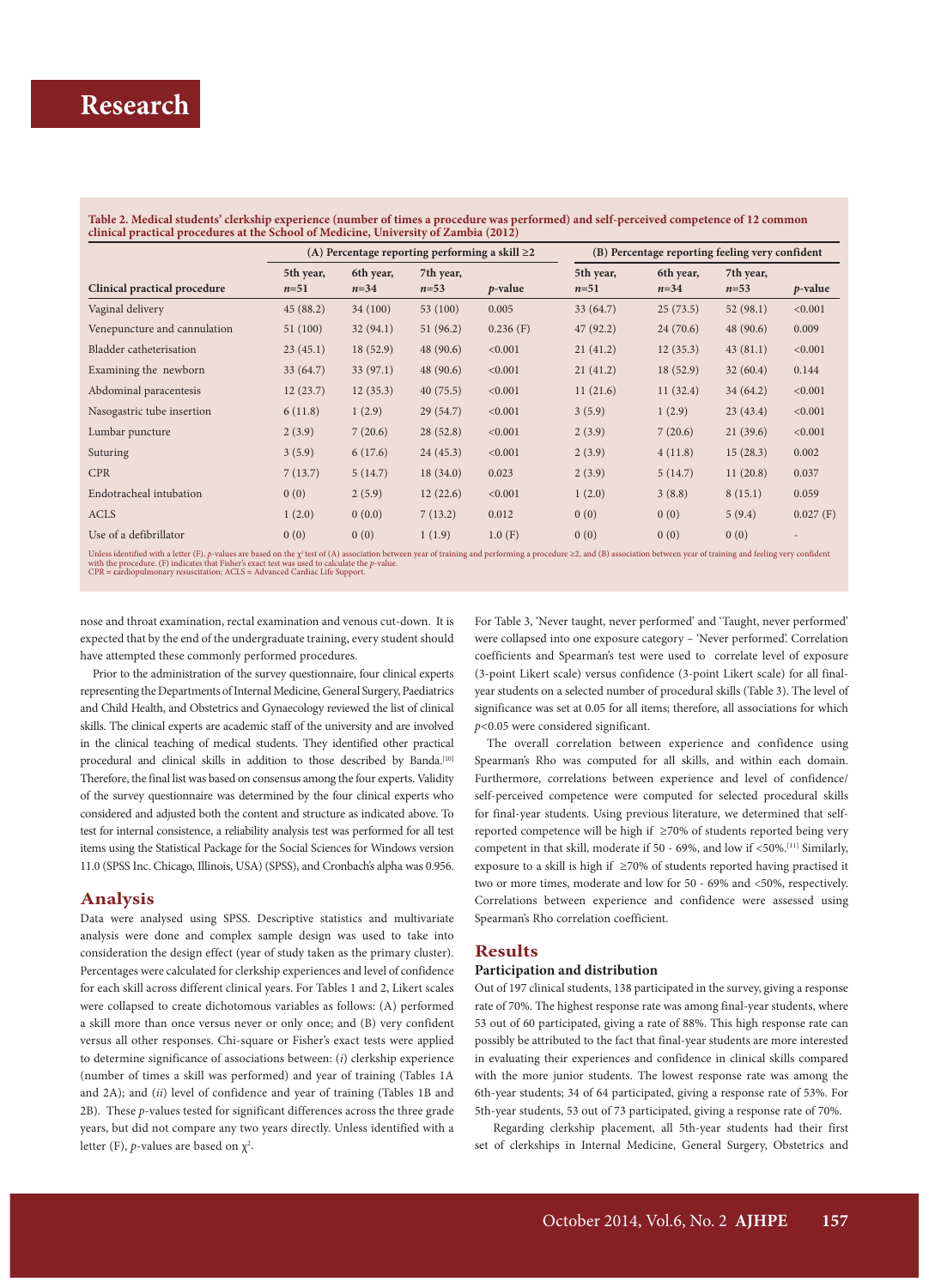#### **Table 2. Medical students' clerkship experience (number of times a procedure was performed) and self-perceived competence of 12 common clinical practical procedures at the School of Medicine, University of Zambia (2012)**

|                              |                     | (A) Percentage reporting performing a skill $\geq 2$ |                       |             |                     | (B) Percentage reporting feeling very confident |                       |             |  |
|------------------------------|---------------------|------------------------------------------------------|-----------------------|-------------|---------------------|-------------------------------------------------|-----------------------|-------------|--|
| Clinical practical procedure | 5th year,<br>$n=51$ | 6th year,<br>$n = 34$                                | 7th year,<br>$n = 53$ | $p$ -value  | 5th year,<br>$n=51$ | 6th year,<br>$n = 34$                           | 7th year,<br>$n = 53$ | $p$ -value  |  |
| Vaginal delivery             | 45(88.2)            | 34 (100)                                             | 53 (100)              | 0.005       | 33 (64.7)           | 25(73.5)                                        | 52(98.1)              | < 0.001     |  |
| Venepuncture and cannulation | 51 (100)            | 32(94.1)                                             | 51(96.2)              | $0.236$ (F) | 47(92.2)            | 24(70.6)                                        | 48 (90.6)             | 0.009       |  |
| Bladder catheterisation      | 23(45.1)            | 18(52.9)                                             | 48(90.6)              | < 0.001     | 21(41.2)            | 12(35.3)                                        | 43(81.1)              | < 0.001     |  |
| Examining the newborn        | 33(64.7)            | 33(97.1)                                             | 48(90.6)              | < 0.001     | 21(41.2)            | 18(52.9)                                        | 32(60.4)              | 0.144       |  |
| Abdominal paracentesis       | 12(23.7)            | 12(35.3)                                             | 40(75.5)              | < 0.001     | 11(21.6)            | 11(32.4)                                        | 34(64.2)              | < 0.001     |  |
| Nasogastric tube insertion   | 6(11.8)             | 1(2.9)                                               | 29(54.7)              | < 0.001     | 3(5.9)              | 1(2.9)                                          | 23(43.4)              | < 0.001     |  |
| Lumbar puncture              | 2(3.9)              | 7(20.6)                                              | 28(52.8)              | < 0.001     | 2(3.9)              | 7(20.6)                                         | 21(39.6)              | < 0.001     |  |
| Suturing                     | 3(5.9)              | 6(17.6)                                              | 24(45.3)              | < 0.001     | 2(3.9)              | 4(11.8)                                         | 15(28.3)              | 0.002       |  |
| <b>CPR</b>                   | 7(13.7)             | 5(14.7)                                              | 18(34.0)              | 0.023       | 2(3.9)              | 5(14.7)                                         | 11(20.8)              | 0.037       |  |
| Endotracheal intubation      | 0(0)                | 2(5.9)                                               | 12(22.6)              | < 0.001     | 1(2.0)              | 3(8.8)                                          | 8(15.1)               | 0.059       |  |
| <b>ACLS</b>                  | 1(2.0)              | 0(0.0)                                               | 7(13.2)               | 0.012       | 0(0)                | 0(0)                                            | 5(9.4)                | $0.027$ (F) |  |
| Use of a defibrillator       | 0(0)                | 0(0)                                                 | 1(1.9)                | 1.0(F)      | 0(0)                | 0(0)                                            | 0(0)                  |             |  |

Unless identified with a letter (F), ρ-values are based on the χ<sup>2</sup>test of (A) association between year of training and performing a procedure ≥2, and (B) association between year of training and feeling very confident wi

nose and throat examination, rectal examination and venous cut-down. It is expected that by the end of the undergraduate training, every student should have attempted these commonly performed procedures.

Prior to the administration of the survey questionnaire, four clinical experts representing the Departments of Internal Medicine, General Surgery, Paediatrics and Child Health, and Obstetrics and Gynaecology reviewed the list of clinical skills. The clinical experts are academic staff of the university and are involved in the clinical teaching of medical students. They identified other practical procedural and clinical skills in addition to those described by Banda.<sup>[10]</sup> Therefore, the final list was based on consensus among the four experts. Validity of the survey questionnaire was determined by the four clinical experts who considered and adjusted both the content and structure as indicated above. To test for internal consistence, a reliability analysis test was performed for all test items using the Statistical Package for the Social Sciences for Windows version 11.0 (SPSS Inc. Chicago, Illinois, USA) (SPSS), and Cronbach's alpha was 0.956.

### **Analysis**

Data were analysed using SPSS. Descriptive statistics and multivariate analysis were done and complex sample design was used to take into consideration the design effect (year of study taken as the primary cluster). Percentages were calculated for clerkship experiences and level of confidence for each skill across different clinical years. For Tables 1 and 2, Likert scales were collapsed to create dichotomous variables as follows: (A) performed a skill more than once versus never or only once; and (B) very confident versus all other responses. Chi-square or Fisher's exact tests were applied to determine significance of associations between: (*i*) clerkship experience (number of times a skill was performed) and year of training (Tables 1A and 2A); and (*ii*) level of confidence and year of training (Tables 1B and 2B). These *p*-values tested for significant differences across the three grade years, but did not compare any two years directly. Unless identified with a letter (F), *p*-values are based on  $\chi^2$ .

For Table 3, 'Never taught, never performed' and 'Taught, never performed' were collapsed into one exposure category – 'Never performed'. Correlation coefficients and Spearman's test were used to correlate level of exposure (3-point Likert scale) versus confidence (3-point Likert scale) for all finalyear students on a selected number of procedural skills (Table 3). The level of significance was set at 0.05 for all items; therefore, all associations for which *p<*0.05 were considered significant.

The overall correlation between experience and confidence using Spearman's Rho was computed for all skills, and within each domain. Furthermore, correlations between experience and level of confidence/ self-perceived competence were computed for selected procedural skills for final-year students. Using previous literature, we determined that selfreported competence will be high if ≥70% of students reported being very competent in that skill, moderate if 50 - 69%, and low if <50%.[11] Similarly, exposure to a skill is high if ≥70% of students reported having practised it two or more times, moderate and low for 50 - 69% and <50%, respectively. Correlations between experience and confidence were assessed using Spearman's Rho correlation coefficient.

#### **Results**

#### **Participation and distribution**

Out of 197 clinical students, 138 participated in the survey, giving a response rate of 70%. The highest response rate was among final-year students, where 53 out of 60 participated, giving a rate of 88%. This high response rate can possibly be attributed to the fact that final-year students are more interested in evaluating their experiences and confidence in clinical skills compared with the more junior students. The lowest response rate was among the 6th-year students; 34 of 64 participated, giving a response rate of 53%. For 5th-year students, 53 out of 73 participated, giving a response rate of 70%.

 Regarding clerkship placement, all 5th-year students had their first set of clerkships in Internal Medicine, General Surgery, Obstetrics and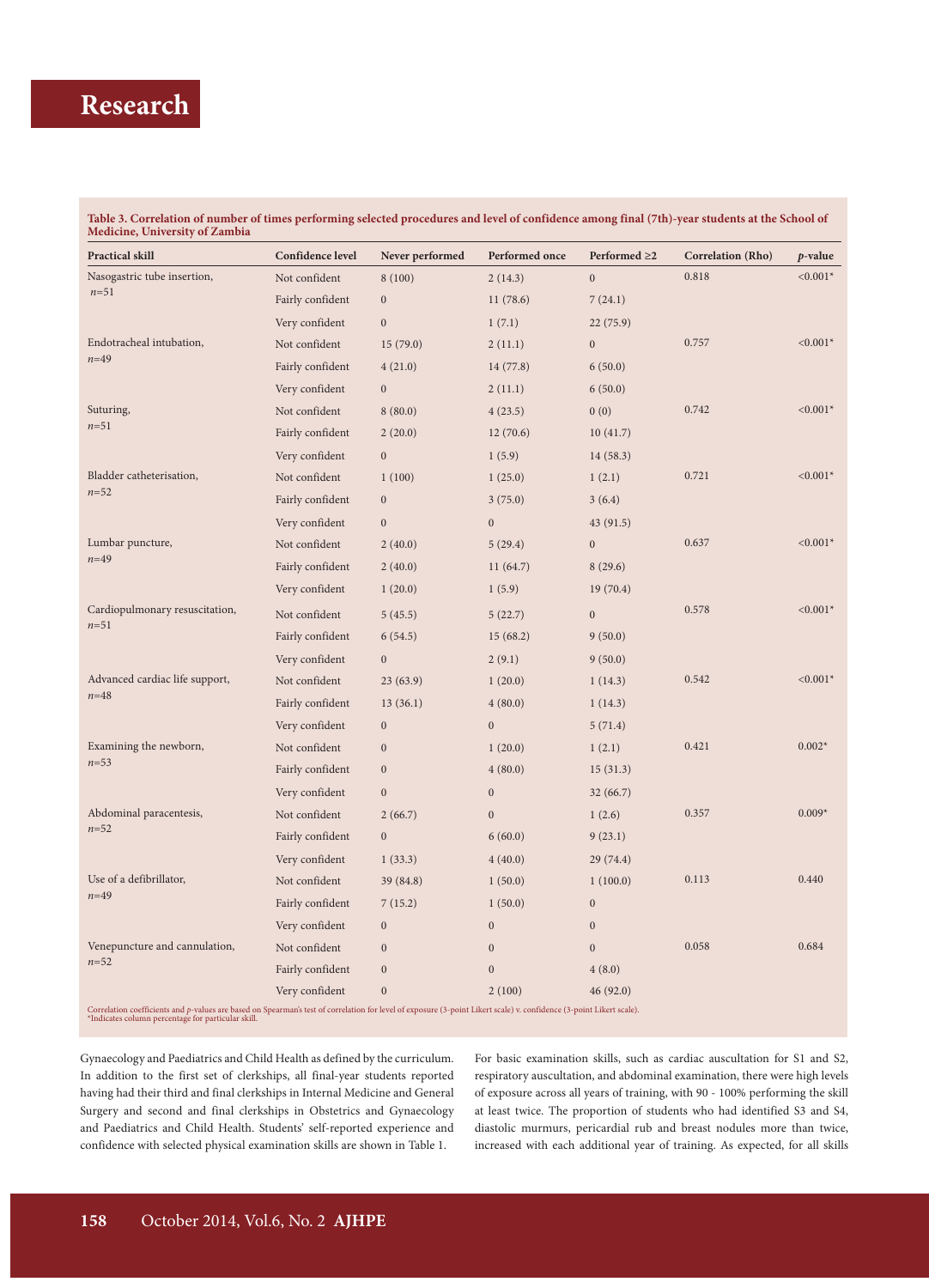# **Research Research Research Research Research Research Research Research Research Research Research Research Research Research Research Research Research Research Research Research R**

**Table 3. Correlation of number of times performing selected procedures and level of confidence among final (7th)-year students at the School of Medicine, University of Zambia** 

| <b>Practical skill</b>                     | Confidence level | Never performed  | Performed once   | Performed $\geq 2$ | <b>Correlation</b> (Rho) | $p$ -value |
|--------------------------------------------|------------------|------------------|------------------|--------------------|--------------------------|------------|
| Nasogastric tube insertion,<br>$n = 51$    | Not confident    | 8(100)           | 2(14.3)          | $\overline{0}$     | 0.818                    | $< 0.001*$ |
|                                            | Fairly confident | $\boldsymbol{0}$ | 11(78.6)         | 7(24.1)            |                          |            |
|                                            | Very confident   | $\boldsymbol{0}$ | 1(7.1)           | 22(75.9)           |                          |            |
| Endotracheal intubation,<br>$n = 49$       | Not confident    | 15(79.0)         | 2(11.1)          | $\boldsymbol{0}$   | 0.757                    | $< 0.001*$ |
|                                            | Fairly confident | 4(21.0)          | 14(77.8)         | 6(50.0)            |                          |            |
|                                            | Very confident   | $\boldsymbol{0}$ | 2(11.1)          | 6(50.0)            |                          |            |
| Suturing,<br>$n = 51$                      | Not confident    | 8(80.0)          | 4(23.5)          | 0(0)               | 0.742                    | $< 0.001*$ |
|                                            | Fairly confident | 2(20.0)          | 12(70.6)         | 10(41.7)           |                          |            |
|                                            | Very confident   | $\boldsymbol{0}$ | 1(5.9)           | 14(58.3)           |                          |            |
| Bladder catheterisation,<br>$n = 52$       | Not confident    | 1(100)           | 1(25.0)          | 1(2.1)             | 0.721                    | $< 0.001*$ |
|                                            | Fairly confident | $\boldsymbol{0}$ | 3(75.0)          | 3(6.4)             |                          |            |
|                                            | Very confident   | $\mathbf{0}$     | $\boldsymbol{0}$ | 43(91.5)           |                          |            |
| Lumbar puncture,<br>$n = 49$               | Not confident    | 2(40.0)          | 5(29.4)          | $\boldsymbol{0}$   | 0.637                    | $< 0.001*$ |
|                                            | Fairly confident | 2(40.0)          | 11(64.7)         | 8(29.6)            |                          |            |
|                                            | Very confident   | 1(20.0)          | 1(5.9)           | 19(70.4)           |                          |            |
| Cardiopulmonary resuscitation,             | Not confident    | 5(45.5)          | 5(22.7)          | $\boldsymbol{0}$   | 0.578                    | $< 0.001*$ |
| $n = 51$                                   | Fairly confident | 6(54.5)          | 15(68.2)         | 9(50.0)            |                          |            |
|                                            | Very confident   | $\boldsymbol{0}$ | 2(9.1)           | 9(50.0)            |                          |            |
| Advanced cardiac life support,<br>$n = 48$ | Not confident    | 23(63.9)         | 1(20.0)          | 1(14.3)            | 0.542                    | $< 0.001*$ |
|                                            | Fairly confident | 13(36.1)         | 4(80.0)          | 1(14.3)            |                          |            |
|                                            | Very confident   | $\boldsymbol{0}$ | $\mathbf{0}$     | 5(71.4)            |                          |            |
| Examining the newborn,<br>$n = 53$         | Not confident    | $\mathbf{0}$     | 1(20.0)          | 1(2.1)             | 0.421                    | $0.002*$   |
|                                            | Fairly confident | $\boldsymbol{0}$ | 4(80.0)          | 15(31.3)           |                          |            |
|                                            | Very confident   | $\mathbf{0}$     | $\mathbf{0}$     | 32(66.7)           |                          |            |
| Abdominal paracentesis,<br>$n = 52$        | Not confident    | 2(66.7)          | $\boldsymbol{0}$ | 1(2.6)             | 0.357                    | $0.009*$   |
|                                            | Fairly confident | $\boldsymbol{0}$ | 6(60.0)          | 9(23.1)            |                          |            |
|                                            | Very confident   | 1(33.3)          | 4(40.0)          | 29(74.4)           |                          |            |
| Use of a defibrillator,<br>$n = 49$        | Not confident    | 39 (84.8)        | 1(50.0)          | 1(100.0)           | 0.113                    | 0.440      |
|                                            | Fairly confident | 7(15.2)          | 1(50.0)          | $\mathbf{0}$       |                          |            |
|                                            | Very confident   | $\mathbf{0}$     | $\boldsymbol{0}$ | $\mathbf{0}$       |                          |            |
| Venepuncture and cannulation,<br>$n = 52$  | Not confident    | $\mathbf{0}$     | $\mathbf{0}$     | $\boldsymbol{0}$   | 0.058                    | 0.684      |
|                                            | Fairly confident | $\mathbf{0}$     | $\boldsymbol{0}$ | 4(8.0)             |                          |            |
|                                            | Very confident   | $\mathbf{0}$     | 2(100)           | 46(92.0)           |                          |            |

Gynaecology and Paediatrics and Child Health as defined by the curriculum. In addition to the first set of clerkships, all final-year students reported having had their third and final clerkships in Internal Medicine and General Surgery and second and final clerkships in Obstetrics and Gynaecology and Paediatrics and Child Health. Students' self-reported experience and confidence with selected physical examination skills are shown in Table 1.

For basic examination skills, such as cardiac auscultation for S1 and S2, respiratory auscultation, and abdominal examination, there were high levels of exposure across all years of training, with 90 - 100% performing the skill at least twice. The proportion of students who had identified S3 and S4, diastolic murmurs, pericardial rub and breast nodules more than twice, increased with each additional year of training. As expected, for all skills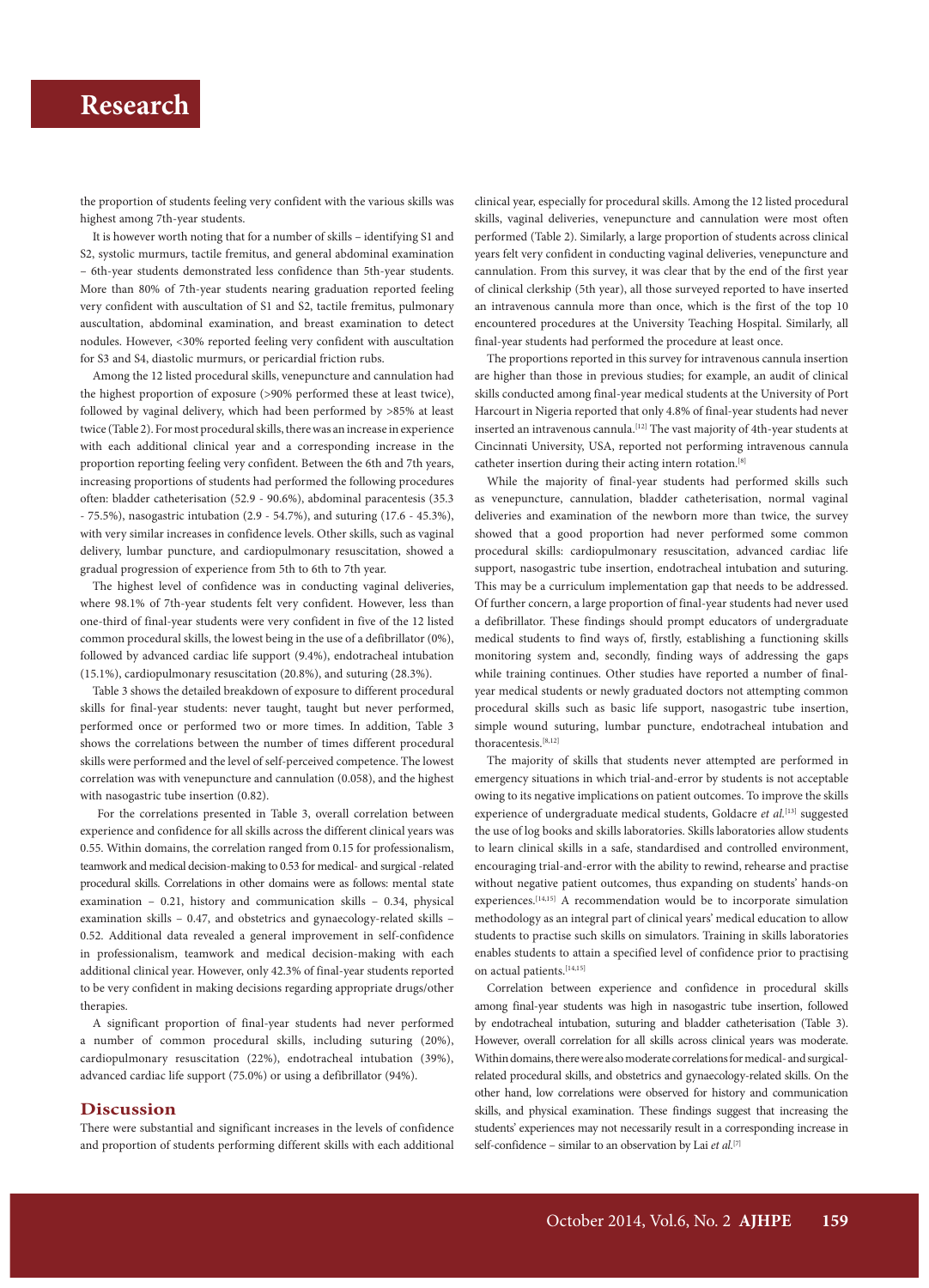### **Research**

the proportion of students feeling very confident with the various skills was highest among 7th-year students.

It is however worth noting that for a number of skills – identifying S1 and S2, systolic murmurs, tactile fremitus, and general abdominal examination – 6th-year students demonstrated less confidence than 5th-year students. More than 80% of 7th-year students nearing graduation reported feeling very confident with auscultation of S1 and S2, tactile fremitus, pulmonary auscultation, abdominal examination, and breast examination to detect nodules. However, <30% reported feeling very confident with auscultation for S3 and S4, diastolic murmurs, or pericardial friction rubs.

Among the 12 listed procedural skills, venepuncture and cannulation had the highest proportion of exposure (>90% performed these at least twice), followed by vaginal delivery, which had been performed by >85% at least twice (Table 2). For most procedural skills, there was an increase in experience with each additional clinical year and a corresponding increase in the proportion reporting feeling very confident. Between the 6th and 7th years, increasing proportions of students had performed the following procedures often: bladder catheterisation (52.9 - 90.6%), abdominal paracentesis (35.3 - 75.5%), nasogastric intubation (2.9 - 54.7%), and suturing (17.6 - 45.3%), with very similar increases in confidence levels. Other skills, such as vaginal delivery, lumbar puncture, and cardiopulmonary resuscitation, showed a gradual progression of experience from 5th to 6th to 7th year.

The highest level of confidence was in conducting vaginal deliveries, where 98.1% of 7th-year students felt very confident. However, less than one-third of final-year students were very confident in five of the 12 listed common procedural skills, the lowest being in the use of a defibrillator (0%), followed by advanced cardiac life support (9.4%), endotracheal intubation (15.1%), cardiopulmonary resuscitation (20.8%), and suturing (28.3%).

Table 3 shows the detailed breakdown of exposure to different procedural skills for final-year students: never taught, taught but never performed, performed once or performed two or more times. In addition, Table 3 shows the correlations between the number of times different procedural skills were performed and the level of self-perceived competence. The lowest correlation was with venepuncture and cannulation (0.058), and the highest with nasogastric tube insertion (0.82).

 For the correlations presented in Table 3, overall correlation between experience and confidence for all skills across the different clinical years was 0.55. Within domains, the correlation ranged from 0.15 for professionalism, teamwork and medical decision-making to 0.53 for medical- and surgical -related procedural skills. Correlations in other domains were as follows: mental state examination – 0.21, history and communication skills – 0.34, physical examination skills – 0.47, and obstetrics and gynaecology-related skills – 0.52. Additional data revealed a general improvement in self-confidence in professionalism, teamwork and medical decision-making with each additional clinical year. However, only 42.3% of final-year students reported to be very confident in making decisions regarding appropriate drugs/other therapies.

A significant proportion of final-year students had never performed a number of common procedural skills, including suturing (20%), cardiopulmonary resuscitation (22%), endotracheal intubation (39%), advanced cardiac life support (75.0%) or using a defibrillator (94%).

#### **Discussion**

There were substantial and significant increases in the levels of confidence and proportion of students performing different skills with each additional clinical year, especially for procedural skills. Among the 12 listed procedural skills, vaginal deliveries, venepuncture and cannulation were most often performed (Table 2). Similarly, a large proportion of students across clinical years felt very confident in conducting vaginal deliveries, venepuncture and cannulation. From this survey, it was clear that by the end of the first year of clinical clerkship (5th year), all those surveyed reported to have inserted an intravenous cannula more than once, which is the first of the top 10 encountered procedures at the University Teaching Hospital. Similarly, all final-year students had performed the procedure at least once.

The proportions reported in this survey for intravenous cannula insertion are higher than those in previous studies; for example, an audit of clinical skills conducted among final-year medical students at the University of Port Harcourt in Nigeria reported that only 4.8% of final-year students had never inserted an intravenous cannula.<sup>[12]</sup> The vast majority of 4th-year students at Cincinnati University, USA, reported not performing intravenous cannula catheter insertion during their acting intern rotation.[8]

While the majority of final-year students had performed skills such as venepuncture, cannulation, bladder catheterisation, normal vaginal deliveries and examination of the newborn more than twice, the survey showed that a good proportion had never performed some common procedural skills: cardiopulmonary resuscitation, advanced cardiac life support, nasogastric tube insertion, endotracheal intubation and suturing. This may be a curriculum implementation gap that needs to be addressed. Of further concern, a large proportion of final-year students had never used a defibrillator. These findings should prompt educators of undergraduate medical students to find ways of, firstly, establishing a functioning skills monitoring system and, secondly, finding ways of addressing the gaps while training continues. Other studies have reported a number of finalyear medical students or newly graduated doctors not attempting common procedural skills such as basic life support, nasogastric tube insertion, simple wound suturing, lumbar puncture, endotracheal intubation and thoracentesis.[8,12]

The majority of skills that students never attempted are performed in emergency situations in which trial-and-error by students is not acceptable owing to its negative implications on patient outcomes. To improve the skills experience of undergraduate medical students, Goldacre et al.<sup>[13]</sup> suggested the use of log books and skills laboratories. Skills laboratories allow students to learn clinical skills in a safe, standardised and controlled environment, encouraging trial-and-error with the ability to rewind, rehearse and practise without negative patient outcomes, thus expanding on students' hands-on experiences.[14,15] A recommendation would be to incorporate simulation methodology as an integral part of clinical years' medical education to allow students to practise such skills on simulators. Training in skills laboratories enables students to attain a specified level of confidence prior to practising on actual patients.<sup>[14,15]</sup>

Correlation between experience and confidence in procedural skills among final-year students was high in nasogastric tube insertion, followed by endotracheal intubation, suturing and bladder catheterisation (Table 3). However, overall correlation for all skills across clinical years was moderate. Within domains, there were also moderate correlations for medical- and surgicalrelated procedural skills, and obstetrics and gynaecology-related skills. On the other hand, low correlations were observed for history and communication skills, and physical examination. These findings suggest that increasing the students' experiences may not necessarily result in a corresponding increase in self-confidence – similar to an observation by Lai *et al.*[7]